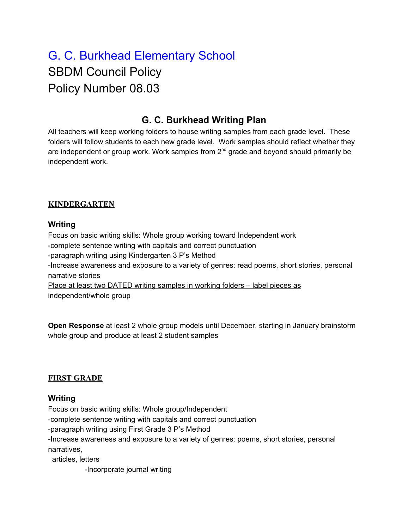# G. C. Burkhead Elementary School SBDM Council Policy Policy Number 08.03

# **G. C. Burkhead Writing Plan**

All teachers will keep working folders to house writing samples from each grade level. These folders will follow students to each new grade level. Work samples should reflect whether they are independent or group work. Work samples from 2<sup>nd</sup> grade and beyond should primarily be independent work.

# **KINDERGARTEN**

#### **Writing**

Focus on basic writing skills: Whole group working toward Independent work -complete sentence writing with capitals and correct punctuation -paragraph writing using Kindergarten 3 P's Method -Increase awareness and exposure to a variety of genres: read poems, short stories, personal narrative stories Place at least two DATED writing samples in working folders – label pieces as independent/whole group

**Open Response** at least 2 whole group models until December, starting in January brainstorm whole group and produce at least 2 student samples

#### **FIRST GRADE**

#### **Writing**

Focus on basic writing skills: Whole group/Independent -complete sentence writing with capitals and correct punctuation -paragraph writing using First Grade 3 P's Method -Increase awareness and exposure to a variety of genres: poems, short stories, personal narratives, articles, letters -Incorporate journal writing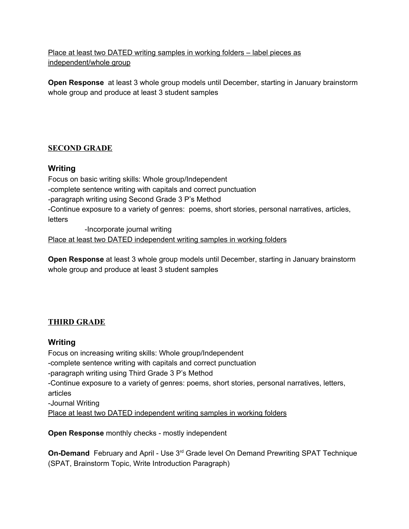Place at least two DATED writing samples in working folders – label pieces as independent/whole group

**Open Response** at least 3 whole group models until December, starting in January brainstorm whole group and produce at least 3 student samples

# **SECOND GRADE**

#### **Writing**

Focus on basic writing skills: Whole group/Independent -complete sentence writing with capitals and correct punctuation -paragraph writing using Second Grade 3 P's Method -Continue exposure to a variety of genres: poems, short stories, personal narratives, articles, letters

-Incorporate journal writing Place at least two DATED independent writing samples in working folders

**Open Response** at least 3 whole group models until December, starting in January brainstorm whole group and produce at least 3 student samples

# **THIRD GRADE**

#### **Writing**

Focus on increasing writing skills: Whole group/Independent -complete sentence writing with capitals and correct punctuation -paragraph writing using Third Grade 3 P's Method -Continue exposure to a variety of genres: poems, short stories, personal narratives, letters, articles -Journal Writing Place at least two DATED independent writing samples in working folders

**Open Response** monthly checks - mostly independent

**On-Demand** February and April - Use 3<sup>rd</sup> Grade level On Demand Prewriting SPAT Technique (SPAT, Brainstorm Topic, Write Introduction Paragraph)